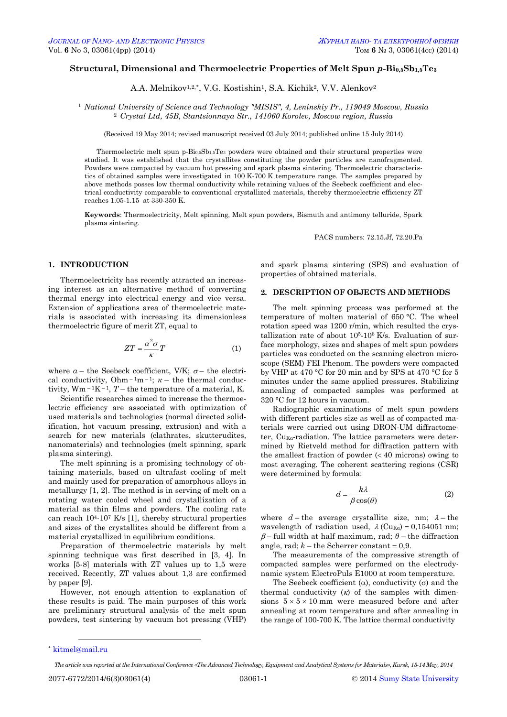# **Structural, Dimensional and Thermoelectric Properties of Melt Spun** *p***-Bi0,5Sb1,5Te<sup>3</sup>**

A.A. Melnikov<sup>1,2,\*</sup>, V.G. Kostishin<sup>1</sup>, S.A. Kichik<sup>2</sup>, V.V. Alenkov<sup>2</sup>

<sup>1</sup> *National University of Science and Technology "MISIS", 4, Leninskiy Pr., 119049 Moscow, Russia* <sup>2</sup> *Crystal Ltd, 45B, Stantsionnaya Str., 141060 Korolev, Moscow region, Russia*

(Received 19 May 2014; revised manuscript received 03 July 2014; published online 15 July 2014)

Thermoelectric melt spun p-Bi0,5Sb1,5Te<sup>3</sup> powders were obtained and their structural properties were studied. It was established that the crystallites constituting the powder particles are nanofragmented. Powders were compacted by vacuum hot pressing and spark plasma sintering. Thermoelectric characteristics of obtained samples were investigated in 100 K-700 K temperature range. The samples prepared by above methods posses low thermal conductivity while retaining values of the Seebeck coefficient and electrical conductivity comparable to conventional crystallized materials, thereby thermoelectric efficiency ZT reaches 1.05-1.15 at 330-350 K.

**Keywords**: Thermoelectricity, Melt spinning, Melt spun powders, Bismuth and antimony telluride, Spark plasma sintering.

PACS numbers: 72.15.Jf, 72.20.Pa

### **1. INTRODUCTION**

Thermoelectricity has recently attracted an increasing interest as an alternative method of converting thermal energy into electrical energy and vice versa. Extension of applications area of thermoelectric materials is associated with increasing its dimensionless thermoelectric figure of merit ZT, equal to

$$
ZT = \frac{\alpha^2 \sigma}{\kappa} T \tag{1}
$$

where  $a$  – the Seebeck coefficient, V/K;  $\sigma$  – the electrical conductivity,  $Ohm^{-1}m^{-1}$ ;  $\kappa$  – the thermal conductivity,  $Wm^{-1}K^{-1}$ ,  $T$  – the temperature of a material, K.

Scientific researches aimed to increase the thermoelectric efficiency are associated with optimization of used materials and technologies (normal directed solidification, hot vacuum pressing, extrusion) and with a search for new materials (clathrates, skutterudites, nanomaterials) and technologies (melt spinning, spark plasma sintering).

The melt spinning is a promising technology of obtaining materials, based on ultrafast cooling of melt and mainly used for preparation of amorphous alloys in metallurgy [1, 2]. The method is in serving of melt on a rotating water cooled wheel and crystallization of a material as thin films and powders. The cooling rate can reach  $10^{4}$ - $10^{7}$  K/s [1], thereby structural properties and sizes of the crystallites should be different from a material crystallized in equilibrium conditions.

Preparation of thermoelectric materials by melt spinning technique was first described in [3, 4]. In works [5-8] materials with ZT values up to 1,5 were received. Recently, ZT values about 1,3 are confirmed by paper [9].

However, not enough attention to explanation of these results is paid. The main purposes of this work are preliminary structural analysis of the melt spun powders, test sintering by vacuum hot pressing (VHP) and spark plasma sintering (SPS) and evaluation of properties of obtained materials.

#### **2. DESCRIPTION OF OBJECTS AND METHODS**

The melt spinning process was performed at the temperature of molten material of 650 °C. The wheel rotation speed was 1200 r/min, which resulted the crystallization rate of about  $10<sup>5</sup>$ -10<sup>6</sup> K/s. Evaluation of surface morphology, sizes and shapes of melt spun powders particles was conducted on the scanning electron microscope (SEM) FEI Phenom. The powders were compacted by VHP at 470 °C for 20 min and by SPS at 470 °C for 5 minutes under the same applied pressures. Stabilizing annealing of compacted samples was performed at 320 °C for 12 hours in vacuum.

Radiographic examinations of melt spun powders with different particles size as well as of compacted materials were carried out using DRON-UM diffractometer,  $Cu<sub>Ka</sub>$ -radiation. The lattice parameters were determined by Rietveld method for diffraction pattern with the smallest fraction of powder  $( $40$  microns) owing to$ most averaging. The coherent scattering regions (CSR) were determined by formula:

$$
d = \frac{k\lambda}{\beta \cos(\theta)}\tag{2}
$$

where  $d$  – the average crystallite size, nm;  $\lambda$  – the wavelength of radiation used,  $\lambda$  (Cu<sub>Ka</sub>) = 0,154051 nm;  $\beta$ – full width at half maximum, rad;  $\theta$  – the diffraction angle, rad;  $k$  – the Scherrer constant  $= 0.9$ .

The measurements of the compressive strength of compacted samples were performed on the electrodynamic system ElectroPuls E1000 at room temperature.

The Seebeck coefficient ( $\alpha$ ), conductivity ( $\sigma$ ) and the thermal conductivity  $(k)$  of the samples with dimensions  $5 \times 5 \times 10$  mm were measured before and after annealing at room temperature and after annealing in the range of 100-700 K. The lattice thermal conductivity

 $\overline{a}$ \* [kitmel@mail.ru](mailto:kitmel@mail.ru)

<span id="page-0-3"></span><span id="page-0-2"></span><span id="page-0-1"></span><span id="page-0-0"></span>*The article was reported at the International Conference «The Advanced Technology, Equipment and Analytical Systems for Materials», Kursk, 13-14 May, 2014*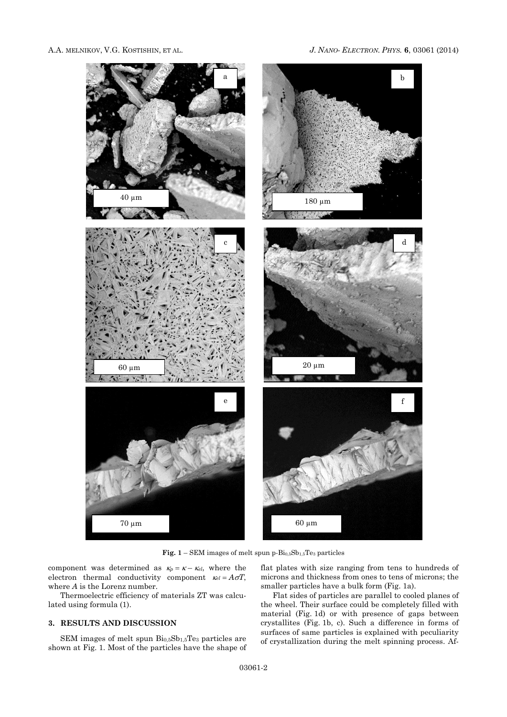

**Fig. 1** – SEM images of melt spun p-Bi0,5Sb1,5Te<sup>3</sup> particles

component was determined as  $\kappa_p = \kappa - \kappa_{el}$ , where the electron thermal conductivity component  $\kappa_{el} = A \sigma T$ , where *A* is the Lorenz number.

Thermoelectric efficiency of materials ZT was calculated using formula (1).

# **3. RESULTS AND DISCUSSION**

SEM images of melt spun Bi0,5Sb1,5Te<sup>3</sup> particles are shown at Fig. 1. Most of the particles have the shape of flat plates with size ranging from tens to hundreds of microns and thickness from ones to tens of microns; the smaller particles have a bulk form (Fig. 1a).

Flat sides of particles are parallel to cooled planes of the wheel. Their surface could be completely filled with material (Fig. 1d) or with presence of gaps between crystallites (Fig. 1b, c). Such a difference in forms of surfaces of same particles is explained with peculiarity of crystallization during the melt spinning process. Af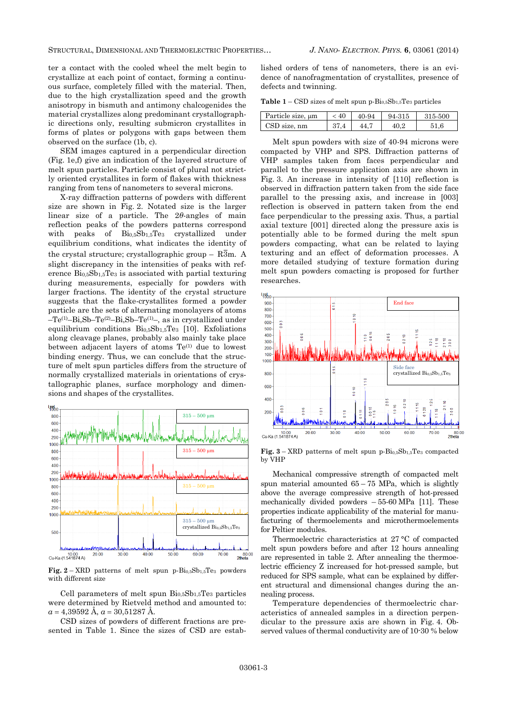STRUCTURAL, DIMENSIONAL AND THERMOELECTRIC PROPERTIES… *J. NANO- ELECTRON. PHYS.* **[6](#page-0-2)**, [03061](#page-0-2) [\(2014\)](#page-0-2)

ter a contact with the cooled wheel the melt begin to crystallize at each point of contact, forming a continuous surface, completely filled with the material. Then, due to the high crystallization speed and the growth anisotropy in bismuth and antimony chalcogenides the material crystallizes along predominant crystallographic directions only, resulting submicron crystallites in forms of plates or polygons with gaps between them observed on the surface (1b, c).

SEM images captured in a perpendicular direction (Fig. 1e,f) give an indication of the layered structure of melt spun particles. Particle consist of plural not strictly oriented crystallites in form of flakes with thickness ranging from tens of nanometers to several microns.

X-ray diffraction patterns of powders with different size are shown in Fig. 2. Notated size is the larger linear size of a particle. The 2*θ*-angles of main reflection peaks of the powders patterns correspond with peaks of  $\text{Bi}_{0.5}\text{Sb}_{1.5}\text{Te}_{3}$  crystallized under equilibrium conditions, what indicates the identity of the crystal structure; crystallographic group –  $R\overline{3}m$ . A slight discrepancy in the intensities of peaks with reference Bi0,5Sb1,5Te<sup>3</sup> is associated with partial texturing during measurements, especially for powders with larger fractions. The identity of the crystal structure suggests that the flake-crystallites formed a powder particle are the sets of alternating monolayers of atoms –Te(1)–Bi,Sb–Te(2)–Bi,Sb–Te(1)–, as in crystallized under equilibrium conditions  $Bi_{0.5}Sb_{1.5}Te_3$  [10]. Exfoliations along cleavage planes, probably also mainly take place between adjacent layers of atoms Te(1) due to lowest binding energy. Thus, we can conclude that the structure of melt spun particles differs from the structure of normally crystallized materials in orientations of crystallographic planes, surface morphology and dimensions and shapes of the crystallites.



**Fig.**  $2 - \text{XRD}$  patterns of melt spun p- $Bi_{0.5}Sb_{1.5}Te_3$  powders with different size

Cell parameters of melt spun  $\rm{Bi}_{0.5}Sb_{1.5}Te_3$  particles were determined by Rietveld method and amounted to:  $a = 4.39592 \text{ Å}$ ,  $a = 30.51287 \text{ Å}$ .

CSD sizes of powders of different fractions are presented in Table 1. Since the sizes of CSD are established orders of tens of nanometers, there is an evidence of nanofragmentation of crystallites, presence of defects and twinning.

**Table 1** – CSD sizes of melt spun p-Bi0,5Sb1,5Te<sup>3</sup> particles

| Particle size, um | < 40 | 40-94 | 94-315 | 315-500 |
|-------------------|------|-------|--------|---------|
| $CSD$ size, nm    | 37.4 |       |        |         |

Melt spun powders with size of 40-94 microns were compacted by VHP and SPS. Diffraction patterns of VHP samples taken from faces perpendicular and parallel to the pressure application axis are shown in Fig. 3. An increase in intensity of [110] reflection is observed in diffraction pattern taken from the side face parallel to the pressing axis, and increase in [003] reflection is observed in pattern taken from the end face perpendicular to the pressing axis. Thus, a partial axial texture [001] directed along the pressure axis is potentially able to be formed during the melt spun powders compacting, what can be related to laying texturing and an effect of deformation processes. A more detailed studying of texture formation during melt spun powders comacting is proposed for further researches.



**Fig.**  $3 - \text{XRD}$  patterns of melt spun p- $\text{Bi}_{0.5}\text{Sb}_{1.5}\text{Te}_{3}$  compacted by VHP

Mechanical compressive strength of compacted melt spun material amounted  $65 - 75$  MPa, which is slightly above the average compressive strength of hot-pressed mechanically divided powders – 55-60 MPa [11]. These properties indicate applicability of the material for manufacturing of thermoelements and microthermoelements for Peltier modules.

Thermoelectric characteristics at 27 °C of compacted melt spun powders before and after 12 hours annealing are represented in table 2. After annealing the thermoelectric efficiency Z increased for hot-pressed sample, but reduced for SPS sample, what can be explained by different structural and dimensional changes during the annealing process.

Temperature dependencies of thermoelectric characteristics of annealed samples in a direction perpendicular to the pressure axis are shown in Fig. 4. Observed values of thermal conductivity are of 10-30 % below